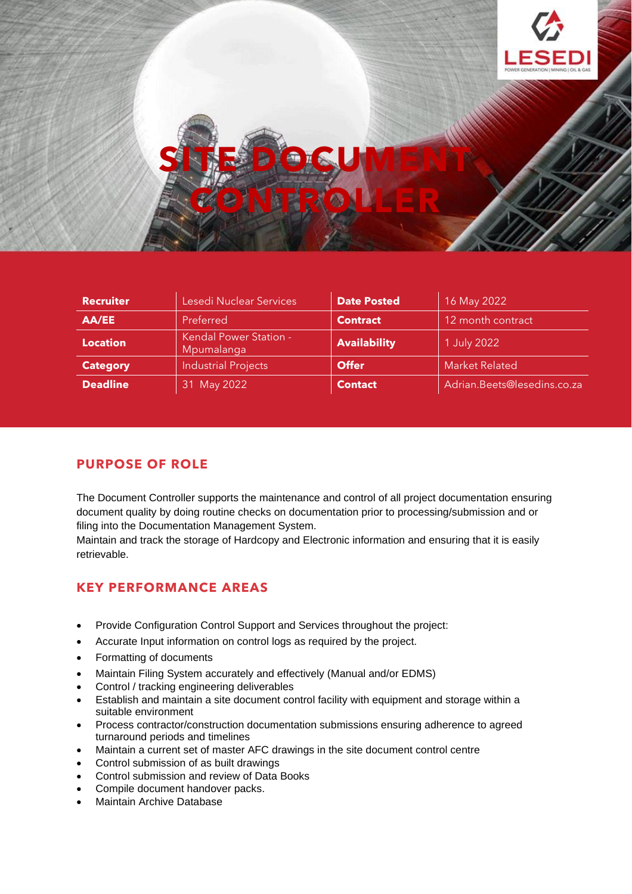

| <b>Recruiter</b> | Lesedi Nuclear Services                     | <b>Date Posted</b>  | 16 May 2022                 |
|------------------|---------------------------------------------|---------------------|-----------------------------|
| AA/EE            | Preferred                                   | <b>Contract</b>     | 12 month contract           |
| <b>Location</b>  | <b>Kendal Power Station -</b><br>Mpumalanga | <b>Availability</b> | 1 July 2022                 |
| <b>Category</b>  | <b>Industrial Projects</b>                  | <b>Offer</b>        | <b>Market Related</b>       |
| <b>Deadline</b>  | 31 May 2022                                 | <b>Contact</b>      | Adrian.Beets@lesedins.co.za |

## **PURPOSE OF ROLE**

The Document Controller supports the maintenance and control of all project documentation ensuring document quality by doing routine checks on documentation prior to processing/submission and or filing into the Documentation Management System.

Maintain and track the storage of Hardcopy and Electronic information and ensuring that it is easily retrievable.

## **KEY PERFORMANCE AREAS**

- Provide Configuration Control Support and Services throughout the project:
- Accurate Input information on control logs as required by the project.
- Formatting of documents
- Maintain Filing System accurately and effectively (Manual and/or EDMS)
- Control / tracking engineering deliverables
- Establish and maintain a site document control facility with equipment and storage within a suitable environment
- Process contractor/construction documentation submissions ensuring adherence to agreed turnaround periods and timelines
- Maintain a current set of master AFC drawings in the site document control centre
- Control submission of as built drawings
- Control submission and review of Data Books
- Compile document handover packs.
- Maintain Archive Database